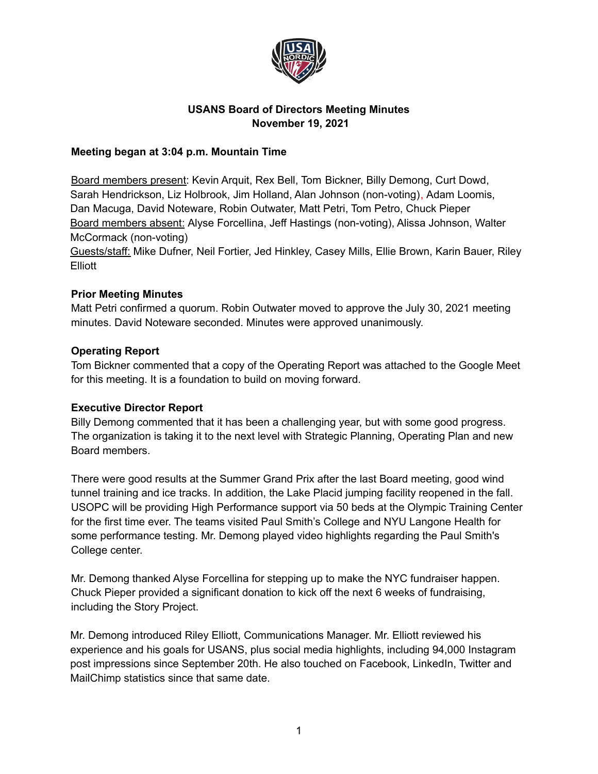

# **USANS Board of Directors Meeting Minutes November 19, 2021**

### **Meeting began at 3:04 p.m. Mountain Time**

Board members present: Kevin Arquit, Rex Bell, Tom Bickner, Billy Demong, Curt Dowd, Sarah Hendrickson, Liz Holbrook, Jim Holland, Alan Johnson (non-voting), Adam Loomis, Dan Macuga, David Noteware, Robin Outwater, Matt Petri, Tom Petro, Chuck Pieper Board members absent: Alyse Forcellina, Jeff Hastings (non-voting), Alissa Johnson, Walter McCormack (non-voting)

Guests/staff: Mike Dufner, Neil Fortier, Jed Hinkley, Casey Mills, Ellie Brown, Karin Bauer, Riley **Elliott** 

### **Prior Meeting Minutes**

Matt Petri confirmed a quorum. Robin Outwater moved to approve the July 30, 2021 meeting minutes. David Noteware seconded. Minutes were approved unanimously.

### **Operating Report**

Tom Bickner commented that a copy of the Operating Report was attached to the Google Meet for this meeting. It is a foundation to build on moving forward.

#### **Executive Director Report**

Billy Demong commented that it has been a challenging year, but with some good progress. The organization is taking it to the next level with Strategic Planning, Operating Plan and new Board members.

There were good results at the Summer Grand Prix after the last Board meeting, good wind tunnel training and ice tracks. In addition, the Lake Placid jumping facility reopened in the fall. USOPC will be providing High Performance support via 50 beds at the Olympic Training Center for the first time ever. The teams visited Paul Smith's College and NYU Langone Health for some performance testing. Mr. Demong played video highlights regarding the Paul Smith's College center.

Mr. Demong thanked Alyse Forcellina for stepping up to make the NYC fundraiser happen. Chuck Pieper provided a significant donation to kick off the next 6 weeks of fundraising, including the Story Project.

Mr. Demong introduced Riley Elliott, Communications Manager. Mr. Elliott reviewed his experience and his goals for USANS, plus social media highlights, including 94,000 Instagram post impressions since September 20th. He also touched on Facebook, LinkedIn, Twitter and MailChimp statistics since that same date.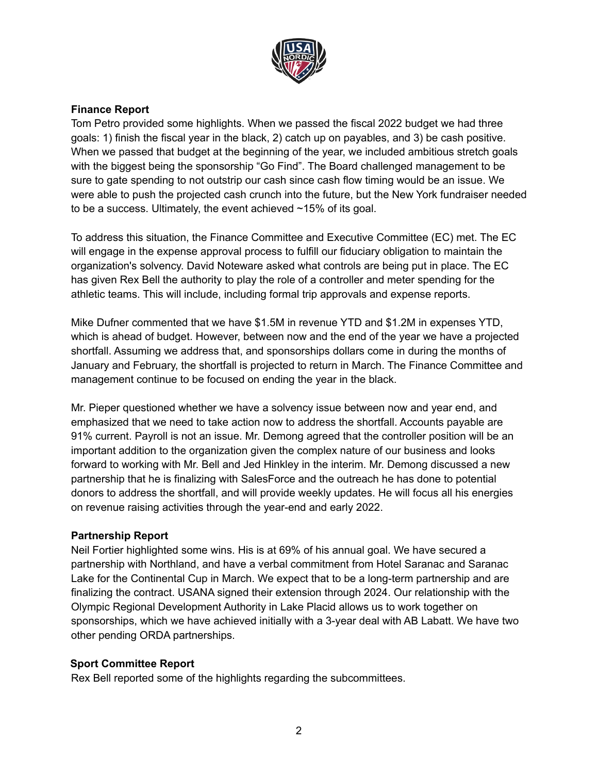

## **Finance Report**

Tom Petro provided some highlights. When we passed the fiscal 2022 budget we had three goals: 1) finish the fiscal year in the black, 2) catch up on payables, and 3) be cash positive. When we passed that budget at the beginning of the year, we included ambitious stretch goals with the biggest being the sponsorship "Go Find". The Board challenged management to be sure to gate spending to not outstrip our cash since cash flow timing would be an issue. We were able to push the projected cash crunch into the future, but the New York fundraiser needed to be a success. Ultimately, the event achieved ~15% of its goal.

To address this situation, the Finance Committee and Executive Committee (EC) met. The EC will engage in the expense approval process to fulfill our fiduciary obligation to maintain the organization's solvency. David Noteware asked what controls are being put in place. The EC has given Rex Bell the authority to play the role of a controller and meter spending for the athletic teams. This will include, including formal trip approvals and expense reports.

Mike Dufner commented that we have \$1.5M in revenue YTD and \$1.2M in expenses YTD, which is ahead of budget. However, between now and the end of the year we have a projected shortfall. Assuming we address that, and sponsorships dollars come in during the months of January and February, the shortfall is projected to return in March. The Finance Committee and management continue to be focused on ending the year in the black.

Mr. Pieper questioned whether we have a solvency issue between now and year end, and emphasized that we need to take action now to address the shortfall. Accounts payable are 91% current. Payroll is not an issue. Mr. Demong agreed that the controller position will be an important addition to the organization given the complex nature of our business and looks forward to working with Mr. Bell and Jed Hinkley in the interim. Mr. Demong discussed a new partnership that he is finalizing with SalesForce and the outreach he has done to potential donors to address the shortfall, and will provide weekly updates. He will focus all his energies on revenue raising activities through the year-end and early 2022.

#### **Partnership Report**

Neil Fortier highlighted some wins. His is at 69% of his annual goal. We have secured a partnership with Northland, and have a verbal commitment from Hotel Saranac and Saranac Lake for the Continental Cup in March. We expect that to be a long-term partnership and are finalizing the contract. USANA signed their extension through 2024. Our relationship with the Olympic Regional Development Authority in Lake Placid allows us to work together on sponsorships, which we have achieved initially with a 3-year deal with AB Labatt. We have two other pending ORDA partnerships.

#### **Sport Committee Report**

Rex Bell reported some of the highlights regarding the subcommittees.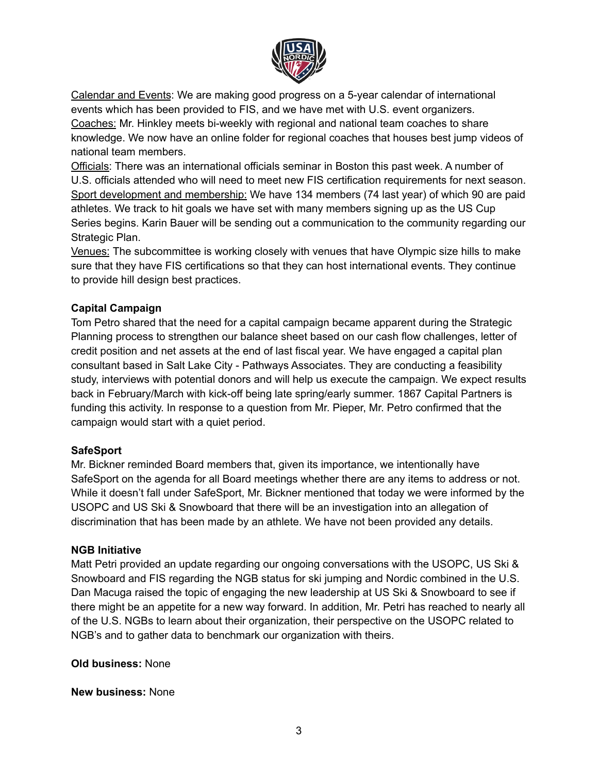

Calendar and Events: We are making good progress on a 5-year calendar of international events which has been provided to FIS, and we have met with U.S. event organizers. Coaches: Mr. Hinkley meets bi-weekly with regional and national team coaches to share knowledge. We now have an online folder for regional coaches that houses best jump videos of national team members.

Officials: There was an international officials seminar in Boston this past week. A number of U.S. officials attended who will need to meet new FIS certification requirements for next season. Sport development and membership: We have 134 members (74 last year) of which 90 are paid athletes. We track to hit goals we have set with many members signing up as the US Cup Series begins. Karin Bauer will be sending out a communication to the community regarding our Strategic Plan.

Venues: The subcommittee is working closely with venues that have Olympic size hills to make sure that they have FIS certifications so that they can host international events. They continue to provide hill design best practices.

## **Capital Campaign**

Tom Petro shared that the need for a capital campaign became apparent during the Strategic Planning process to strengthen our balance sheet based on our cash flow challenges, letter of credit position and net assets at the end of last fiscal year. We have engaged a capital plan consultant based in Salt Lake City - Pathways Associates. They are conducting a feasibility study, interviews with potential donors and will help us execute the campaign. We expect results back in February/March with kick-off being late spring/early summer. 1867 Capital Partners is funding this activity. In response to a question from Mr. Pieper, Mr. Petro confirmed that the campaign would start with a quiet period.

## **SafeSport**

Mr. Bickner reminded Board members that, given its importance, we intentionally have SafeSport on the agenda for all Board meetings whether there are any items to address or not. While it doesn't fall under SafeSport, Mr. Bickner mentioned that today we were informed by the USOPC and US Ski & Snowboard that there will be an investigation into an allegation of discrimination that has been made by an athlete. We have not been provided any details.

## **NGB Initiative**

Matt Petri provided an update regarding our ongoing conversations with the USOPC, US Ski & Snowboard and FIS regarding the NGB status for ski jumping and Nordic combined in the U.S. Dan Macuga raised the topic of engaging the new leadership at US Ski & Snowboard to see if there might be an appetite for a new way forward. In addition, Mr. Petri has reached to nearly all of the U.S. NGBs to learn about their organization, their perspective on the USOPC related to NGB's and to gather data to benchmark our organization with theirs.

**Old business:** None

**New business:** None